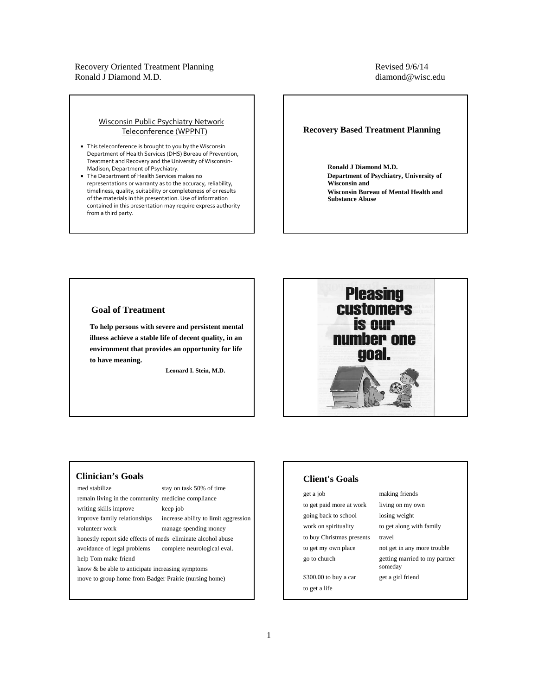## Revised 9/6/14 diamond@wisc.edu

#### Wisconsin Public Psychiatry Network Teleconference (WPPNT)

- This teleconference is brought to you by the Wisconsin Department of Health Services (DHS) Bureau of Prevention, Treatment and Recovery and the University of Wisconsin‐ Madison, Department of Psychiatry.
- The Department of Health Services makes no representations or warranty as to the accuracy, reliability, timeliness, quality, suitability or completeness of or results of the materials in this presentation. Use of information contained in this presentation may require express authority from a third party.

#### **Recovery Based Treatment Planning**

**Ronald J Diamond M.D. Department of Psychiatry, University of Wisconsin and Wisconsin Bureau of Mental Health and Substance Abuse**

## **Goal of Treatment**

**To help persons with severe and persistent mental illness achieve a stable life of decent quality, in an environment that provides an opportunity for life to have meaning.**

**Leonard I. Stein, M.D.**



## **Clinician's Goals**

med stabilize stay on task 50% of time

remain living in the community medicine compliance

writing skills improve keep job

improve family relationships increase ability to limit aggression

honestly report side effects of meds eliminate alcohol abuse

volunteer work manage spending money

avoidance of legal problems complete neurological eval. help Tom make friend

know & be able to anticipate increasing symptoms

move to group home from Badger Prairie (nursing home)

# **Client's Goals**

get a job making friends to get paid more at work living on my own going back to school losing weight work on spirituality to get along with family to buy Christmas presents travel

to get a life

to get my own place not get in any more trouble go to church getting married to my partner someday \$300.00 to buy a car get a girl friend

1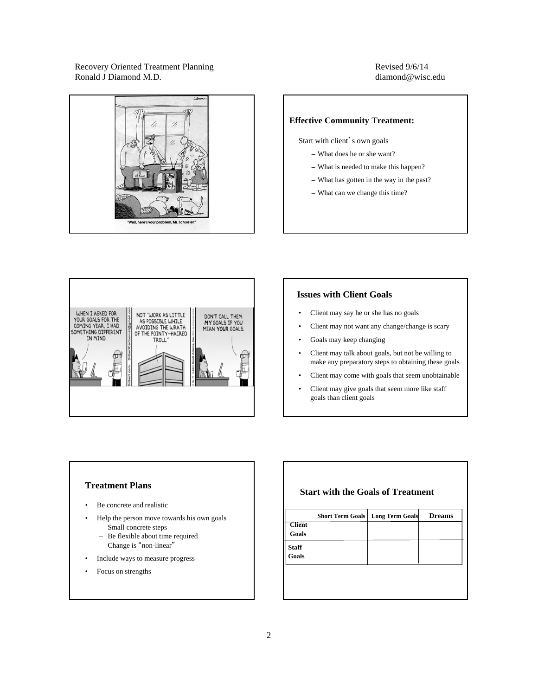## Revised 9/6/14 diamond@wisc.edu



## **Effective Community Treatment:**

Start with client's own goals

- What does he or she want?
- What is needed to make this happen?
- What has gotten in the way in the past?
- What can we change this time?



## **Issues with Client Goals**

- Client may say he or she has no goals
- Client may not want any change/change is scary
- Goals may keep changing
- Client may talk about goals, but not be willing to make any preparatory steps to obtaining these goals
- Client may come with goals that seem unobtainable
- Client may give goals that seem more like staff goals than client goals

## **Treatment Plans**

- Be concrete and realistic
- Help the person move towards his own goals
	- Small concrete steps
	- Be flexible about time required
	- Change is "non-linear"
- Include ways to measure progress
- Focus on strengths

## **Start with the Goals of Treatment**

| <b>Client</b><br><b>Goals</b> |  |  |
|-------------------------------|--|--|
|                               |  |  |
| <b>Staff</b><br>Goals         |  |  |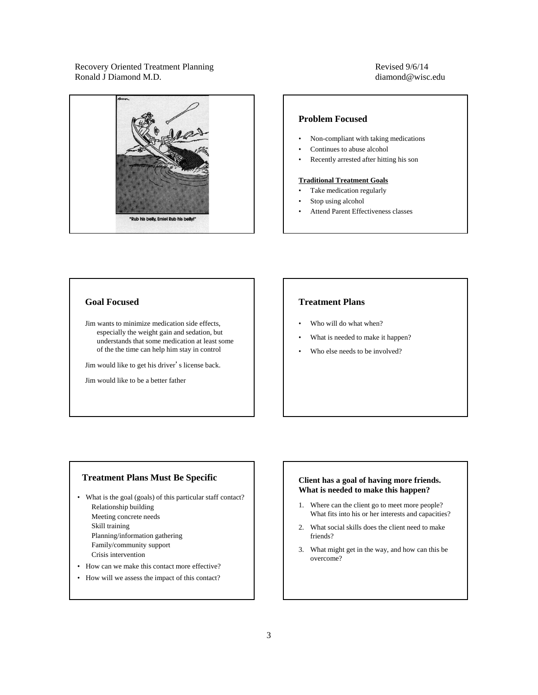## Revised 9/6/14 diamond@wisc.edu



## **Problem Focused**

- Non-compliant with taking medications
- Continues to abuse alcohol
- Recently arrested after hitting his son

#### **Traditional Treatment Goals**

- Take medication regularly
- Stop using alcohol
- Attend Parent Effectiveness classes

## **Goal Focused**

Jim wants to minimize medication side effects, especially the weight gain and sedation, but understands that some medication at least some of the the time can help him stay in control

Jim would like to get his driver's license back.

Jim would like to be a better father

## **Treatment Plans**

- Who will do what when?
- What is needed to make it happen?
- Who else needs to be involved?

## **Treatment Plans Must Be Specific**

- What is the goal (goals) of this particular staff contact? Relationship building Meeting concrete needs Skill training Planning/information gathering Family/community support Crisis intervention
- How can we make this contact more effective?
- How will we assess the impact of this contact?

#### **Client has a goal of having more friends. What is needed to make this happen?**

- 1. Where can the client go to meet more people? What fits into his or her interests and capacities?
- 2. What social skills does the client need to make friends?
- 3. What might get in the way, and how can this be overcome?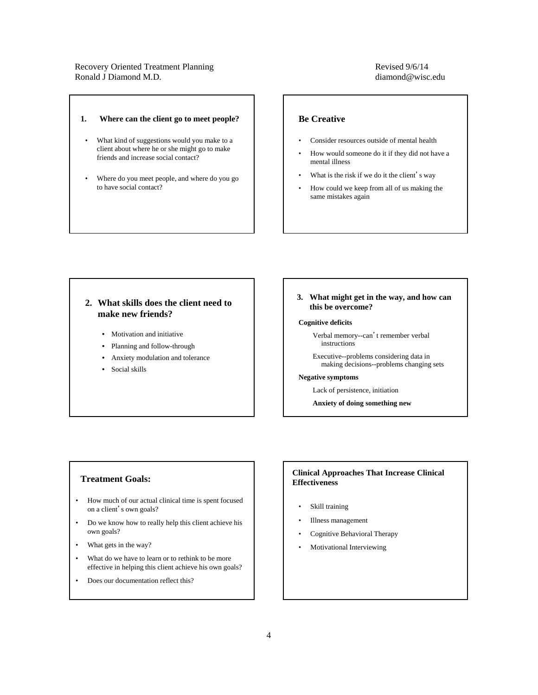#### **1. Where can the client go to meet people?**

- What kind of suggestions would you make to a client about where he or she might go to make friends and increase social contact?
- Where do you meet people, and where do you go to have social contact?

## Revised 9/6/14 diamond@wisc.edu

## **Be Creative**

- Consider resources outside of mental health
- How would someone do it if they did not have a mental illness
- What is the risk if we do it the client's way
- How could we keep from all of us making the same mistakes again

## **2. What skills does the client need to make new friends?**

- Motivation and initiative
- Planning and follow-through
- Anxiety modulation and tolerance
- Social skills

#### **3. What might get in the way, and how can this be overcome?**

#### **Cognitive deficits**

Verbal memory--can't remember verbal instructions

Executive--problems considering data in making decisions--problems changing sets

#### **Negative symptoms**

Lack of persistence, initiation

**Anxiety of doing something new**

#### **Treatment Goals:**

- How much of our actual clinical time is spent focused on a client's own goals?
- Do we know how to really help this client achieve his own goals?
- What gets in the way?
- What do we have to learn or to rethink to be more effective in helping this client achieve his own goals?
- Does our documentation reflect this?

## **Clinical Approaches That Increase Clinical Effectiveness**

- Skill training
- Illness management
- Cognitive Behavioral Therapy
- Motivational Interviewing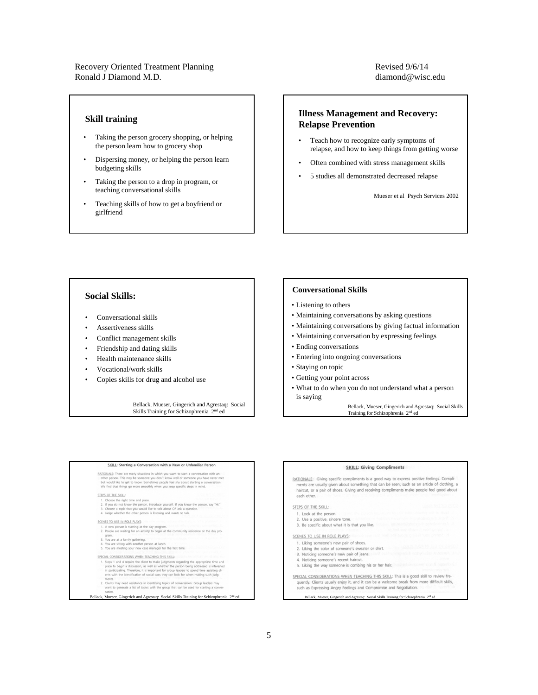## Revised 9/6/14 diamond@wisc.edu

#### **Skill training**

- Taking the person grocery shopping, or helping the person learn how to grocery shop
- Dispersing money, or helping the person learn budgeting skills
- Taking the person to a drop in program, or teaching conversational skills
- Teaching skills of how to get a boyfriend or girlfriend

## **Illness Management and Recovery: Relapse Prevention**

- Teach how to recognize early symptoms of relapse, and how to keep things from getting worse
- Often combined with stress management skills
- 5 studies all demonstrated decreased relapse

Mueser et al Psych Services 2002

## **Social Skills:**

- Conversational skills
- Assertiveness skills
- Conflict management skills
- Friendship and dating skills
- Health maintenance skills
- Vocational/work skills
- Copies skills for drug and alcohol use

Bellack, Mueser, Gingerich and Agrestaq: Social<br>Skills Training for Schizophrenia 2<sup>nd</sup> ed

#### **Conversational Skills**

- Listening to others
- Maintaining conversations by asking questions
- Maintaining conversations by giving factual information
- Maintaining conversation by expressing feelings
- Ending conversations
- Entering into ongoing conversations
- Staying on topic
- Getting your point across
- What to do when you do not understand what a person is saying

Bellack, Mueser, Gingerich and Agrestaq: Social Skills Training for Schizophrenia 2<sup>nd</sup> ed

## SKILL: Starting a Conversation with a New or Unfamiliar Person RATIONALE: There are many situations in which you want to start a conversation with an-other person. This may be someone you don't know well of started by the started metric metric metric metric metric metric metric metric STEPS OF THE SKILL: 1. Choose the right time and place.<br>
2. If you do not know the person, introduce yourself. If you know the person, say "HL"<br>
3. Ohoose a topic that you would like to talk about OR ask a question.<br>
4. Judge whether the othe SCENES TO USE IN ROLE PLAYS: 1. A new person is starting at the day program.<br>2. People are waiting for an activity to begin at the community residence or the day program.<br>3. You are at a family gathering.<br>4. You are sitting with another person at lunch.<br>5. You are meeting your new case manager for the first time. SPECIAL CONSIDERATIONS WHEN TEACHING THIS SKILL: some Schwarzenhunder the dient to make judgments regarding the appropriate time and<br>the scheme of the state of the make judgments regarding the appropriate time and<br>in participating. Therefore, its important for group lead .<br>Lients may need assistance in identifying topics of conversation. Group leaders may<br>vant to generate a list of topics with the group that can be used for starting a conver

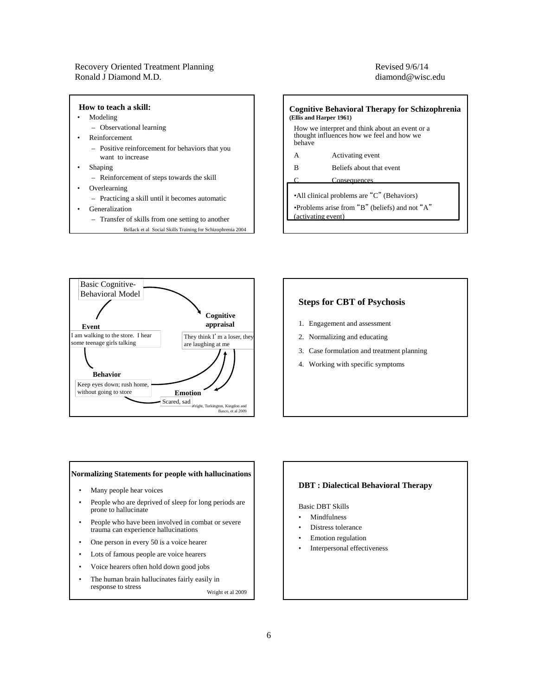## Revised 9/6/14 diamond@wisc.edu





## **Steps for CBT of Psychosis**

- 1. Engagement and assessment
- 2. Normalizing and educating
- 3. Case formulation and treatment planning
- 4. Working with specific symptoms

#### **Normalizing Statements for people with hallucinations**

- Many people hear voices
- People who are deprived of sleep for long periods are prone to hallucinate
- People who have been involved in combat or severe trauma can experience hallucinations
- One person in every 50 is a voice hearer
- Lots of famous people are voice hearers
- Voice hearers often hold down good jobs
- The human brain hallucinates fairly easily in response to stress Wright et al 2009

## **DBT : Dialectical Behavioral Therapy**

#### Basic DBT Skills

- Mindfulness
- Distress tolerance
- Emotion regulation
- Interpersonal effectiveness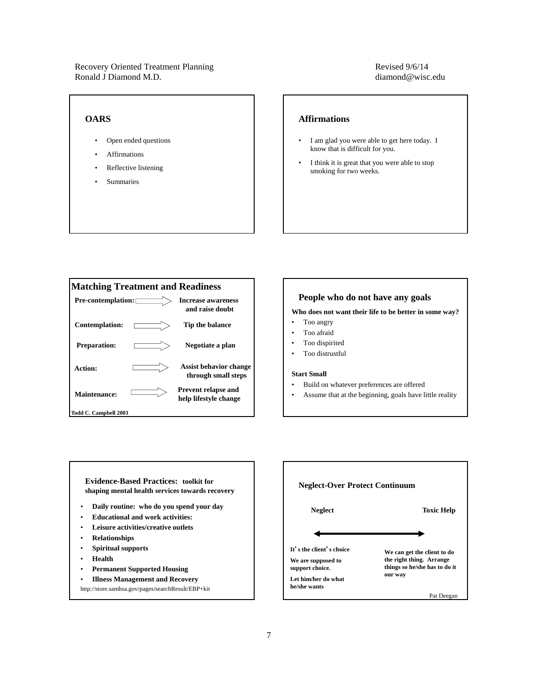## **OARS**

- Open ended questions
- **Affirmations**
- Reflective listening
- Summaries

## Revised 9/6/14 diamond@wisc.edu

#### **Affirmations**

- I am glad you were able to get here today. I know that is difficult for you.
- I think it is great that you were able to stop smoking for two weeks.



#### **People who do not have any goals**

#### **Who does not want their life to be better in some way?**

- Too angry
- Too afraid
- Too dispirited
- Too distrustful

#### **Start Small**

- Build on whatever preferences are offered
- Assume that at the beginning, goals have little reality

**Evidence-Based Practices: toolkit for shaping mental health services towards recovery**

- **Daily routine: who do you spend your day**
- **Educational and work activities:**
- **Leisure activities/creative outlets**
- **Relationships**
- **Spiritual supports**
- **Health**
- **Permanent Supported Housing**
- **Illness Management and Recovery**
- http://store.samhsa.gov/pages/searchResult/EBP+kit